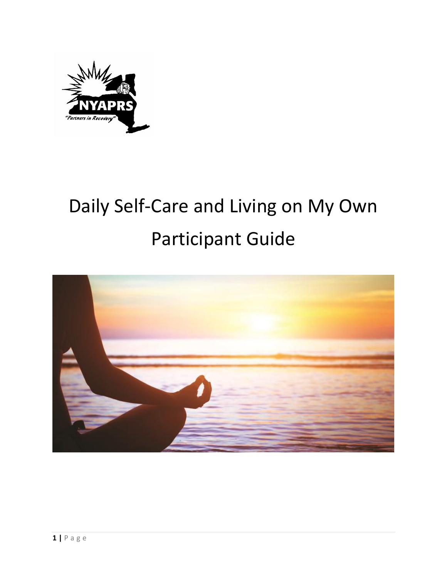

# Daily Self-Care and Living on My Own Participant Guide

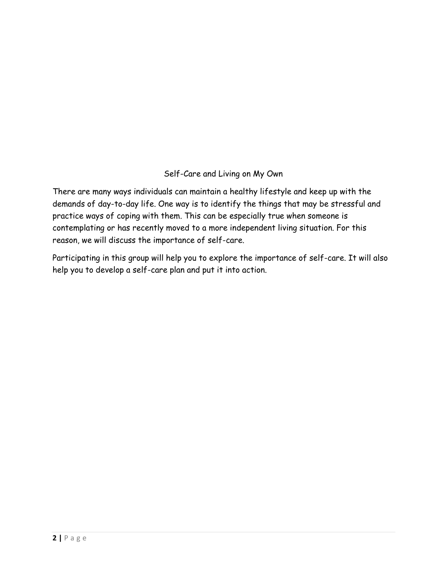# Self-Care and Living on My Own

There are many ways individuals can maintain a healthy lifestyle and keep up with the demands of day-to-day life. One way is to identify the things that may be stressful and practice ways of coping with them. This can be especially true when someone is contemplating or has recently moved to a more independent living situation. For this reason, we will discuss the importance of self-care.

Participating in this group will help you to explore the importance of self-care. It will also help you to develop a self-care plan and put it into action.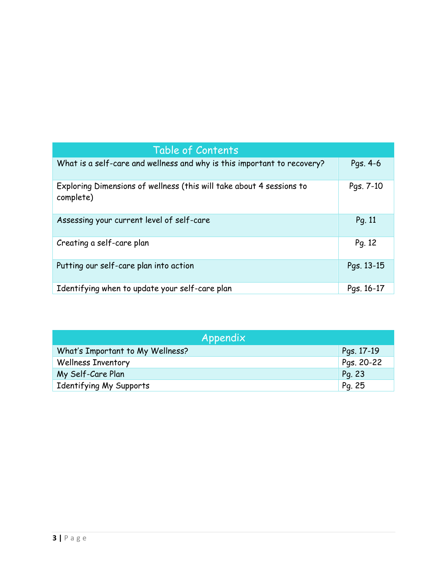| Table of Contents                                                                 |            |
|-----------------------------------------------------------------------------------|------------|
| What is a self-care and wellness and why is this important to recovery?           | Pgs. 4-6   |
| Exploring Dimensions of wellness (this will take about 4 sessions to<br>complete) | Pgs. 7-10  |
| Assessing your current level of self-care                                         | Pg. 11     |
| Creating a self-care plan                                                         | Pg. 12     |
| Putting our self-care plan into action                                            | Pgs. 13-15 |
| Identifying when to update your self-care plan                                    | Pgs. 16-17 |

| Appendix                         |            |  |
|----------------------------------|------------|--|
| What's Important to My Wellness? | Pgs. 17-19 |  |
| <b>Wellness Inventory</b>        | Pgs. 20-22 |  |
| My Self-Care Plan                | Pg. 23     |  |
| Identifying My Supports          | Pg. 25     |  |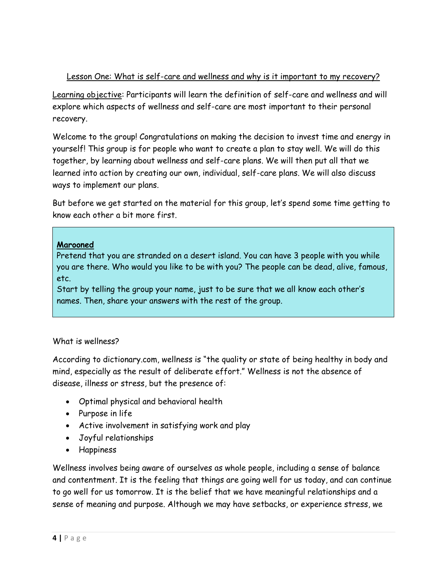#### Lesson One: What is self-care and wellness and why is it important to my recovery?

Learning objective: Participants will learn the definition of self-care and wellness and will explore which aspects of wellness and self-care are most important to their personal recovery.

Welcome to the group! Congratulations on making the decision to invest time and energy in yourself! This group is for people who want to create a plan to stay well. We will do this together, by learning about wellness and self-care plans. We will then put all that we learned into action by creating our own, individual, self-care plans. We will also discuss ways to implement our plans.

But before we get started on the material for this group, let's spend some time getting to know each other a bit more first.

#### **Marooned**

Pretend that you are stranded on a desert island. You can have 3 people with you while you are there. Who would you like to be with you? The people can be dead, alive, famous, etc.

Start by telling the group your name, just to be sure that we all know each other's names. Then, share your answers with the rest of the group.

# What is wellness?

According to dictionary.com, wellness is "the quality or state of being healthy in body and mind, especially as the result of deliberate effort." Wellness is not the absence of disease, illness or stress, but the presence of:

- Optimal physical and behavioral health
- Purpose in life
- Active involvement in satisfying work and play
- Joyful relationships
- Happiness

Wellness involves being aware of ourselves as whole people, including a sense of balance and contentment. It is the feeling that things are going well for us today, and can continue to go well for us tomorrow. It is the belief that we have meaningful relationships and a sense of meaning and purpose. Although we may have setbacks, or experience stress, we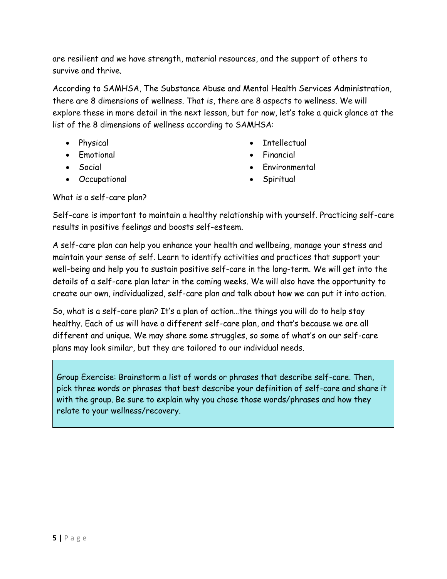are resilient and we have strength, material resources, and the support of others to survive and thrive.

According to SAMHSA, The Substance Abuse and Mental Health Services Administration, there are 8 dimensions of wellness. That is, there are 8 aspects to wellness. We will explore these in more detail in the next lesson, but for now, let's take a quick glance at the list of the 8 dimensions of wellness according to SAMHSA:

- Physical
- Emotional
- Social
- Occupational
- Intellectual
- Financial
- Environmental
- Spiritual

What is a self-care plan?

Self-care is important to maintain a healthy relationship with yourself. Practicing self-care results in positive feelings and boosts self-esteem.

A self-care plan can help you enhance your health and wellbeing, manage your stress and maintain your sense of self. Learn to identify activities and practices that support your well-being and help you to sustain positive self-care in the long-term. We will get into the details of a self-care plan later in the coming weeks. We will also have the opportunity to create our own, individualized, self-care plan and talk about how we can put it into action.

So, what is a self-care plan? It's a plan of action…the things you will do to help stay healthy. Each of us will have a different self-care plan, and that's because we are all different and unique. We may share some struggles, so some of what's on our self-care plans may look similar, but they are tailored to our individual needs.

Group Exercise: Brainstorm a list of words or phrases that describe self-care. Then, pick three words or phrases that best describe your definition of self-care and share it with the group. Be sure to explain why you chose those words/phrases and how they relate to your wellness/recovery.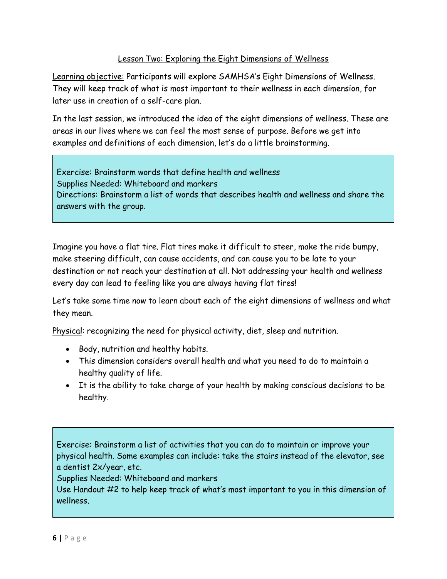# Lesson Two: Exploring the Eight Dimensions of Wellness

Learning objective: Participants will explore SAMHSA's Eight Dimensions of Wellness. They will keep track of what is most important to their wellness in each dimension, for later use in creation of a self-care plan.

In the last session, we introduced the idea of the eight dimensions of wellness. These are areas in our lives where we can feel the most sense of purpose. Before we get into examples and definitions of each dimension, let's do a little brainstorming.

Exercise: Brainstorm words that define health and wellness Supplies Needed: Whiteboard and markers Directions: Brainstorm a list of words that describes health and wellness and share the answers with the group.

Imagine you have a flat tire. Flat tires make it difficult to steer, make the ride bumpy, make steering difficult, can cause accidents, and can cause you to be late to your destination or not reach your destination at all. Not addressing your health and wellness every day can lead to feeling like you are always having flat tires!

Let's take some time now to learn about each of the eight dimensions of wellness and what they mean.

Physical: recognizing the need for physical activity, diet, sleep and nutrition.

- Body, nutrition and healthy habits.
- This dimension considers overall health and what you need to do to maintain a healthy quality of life.
- It is the ability to take charge of your health by making conscious decisions to be healthy.

Exercise: Brainstorm a list of activities that you can do to maintain or improve your physical health. Some examples can include: take the stairs instead of the elevator, see a dentist 2x/year, etc.

Supplies Needed: Whiteboard and markers

Use Handout #2 to help keep track of what's most important to you in this dimension of wellness.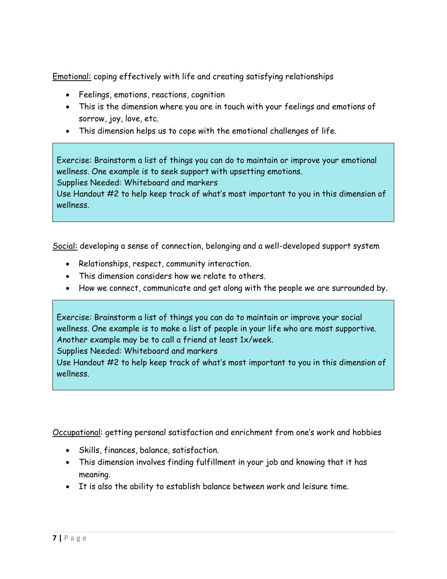Emotional: coping effectively with life and creating satisfying relationships

- Feelings, emotions, reactions, cognition
- This is the dimension where you are in touch with your feelings and emotions of sorrow, joy, love, etc.
- This dimension helps us to cope with the emotional challenges of life.

Exercise: Brainstorm a list of things you can do to maintain or improve your emotional wellness. One example is to seek support with upsetting emotions.

Supplies Needed: Whiteboard and markers

Use Handout #2 to help keep track of what's most important to you in this dimension of wellness.

Social: developing a sense of connection, belonging and a well-developed support system

- Relationships, respect, community interaction.
- This dimension considers how we relate to others.
- How we connect, communicate and get along with the people we are surrounded by.

Exercise: Brainstorm a list of things you can do to maintain or improve your social wellness. One example is to make a list of people in your life who are most supportive. Another example may be to call a friend at least 1x/week.

Supplies Needed: Whiteboard and markers

Use Handout #2 to help keep track of what's most important to you in this dimension of wellness.

Occupational: getting personal satisfaction and enrichment from one's work and hobbies

- Skills, finances, balance, satisfaction.
- This dimension involves finding fulfillment in your job and knowing that it has meaning.
- It is also the ability to establish balance between work and leisure time.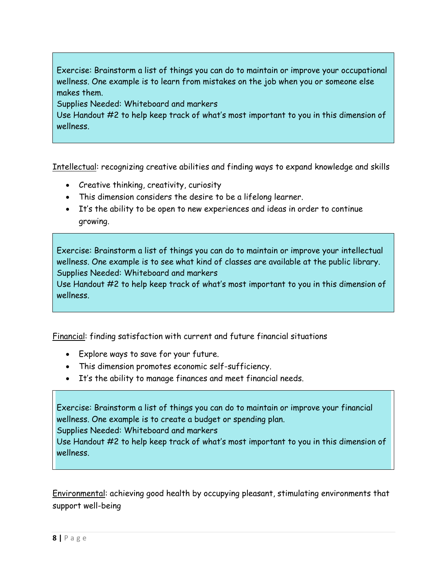Exercise: Brainstorm a list of things you can do to maintain or improve your occupational wellness. One example is to learn from mistakes on the job when you or someone else makes them.

Supplies Needed: Whiteboard and markers

Use Handout #2 to help keep track of what's most important to you in this dimension of wellness.

Intellectual: recognizing creative abilities and finding ways to expand knowledge and skills

- Creative thinking, creativity, curiosity
- This dimension considers the desire to be a lifelong learner.
- It's the ability to be open to new experiences and ideas in order to continue growing.

Exercise: Brainstorm a list of things you can do to maintain or improve your intellectual wellness. One example is to see what kind of classes are available at the public library. Supplies Needed: Whiteboard and markers

Use Handout #2 to help keep track of what's most important to you in this dimension of wellness.

Financial: finding satisfaction with current and future financial situations

- Explore ways to save for your future.
- This dimension promotes economic self-sufficiency.
- It's the ability to manage finances and meet financial needs.

Exercise: Brainstorm a list of things you can do to maintain or improve your financial wellness. One example is to create a budget or spending plan. Supplies Needed: Whiteboard and markers Use Handout #2 to help keep track of what's most important to you in this dimension of

Environmental: achieving good health by occupying pleasant, stimulating environments that support well-being

wellness.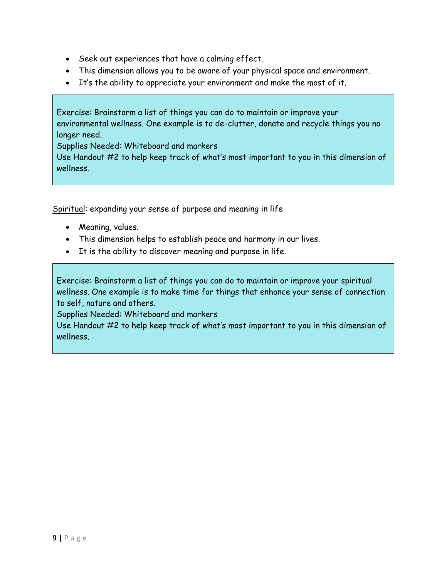- Seek out experiences that have a calming effect.
- This dimension allows you to be aware of your physical space and environment.
- It's the ability to appreciate your environment and make the most of it.

Exercise: Brainstorm a list of things you can do to maintain or improve your environmental wellness. One example is to de-clutter, donate and recycle things you no longer need.

Supplies Needed: Whiteboard and markers

Use Handout #2 to help keep track of what's most important to you in this dimension of wellness.

Spiritual: expanding your sense of purpose and meaning in life

- Meaning, values.
- This dimension helps to establish peace and harmony in our lives.
- It is the ability to discover meaning and purpose in life.

Exercise: Brainstorm a list of things you can do to maintain or improve your spiritual wellness. One example is to make time for things that enhance your sense of connection to self, nature and others.

Supplies Needed: Whiteboard and markers

Use Handout #2 to help keep track of what's most important to you in this dimension of wellness.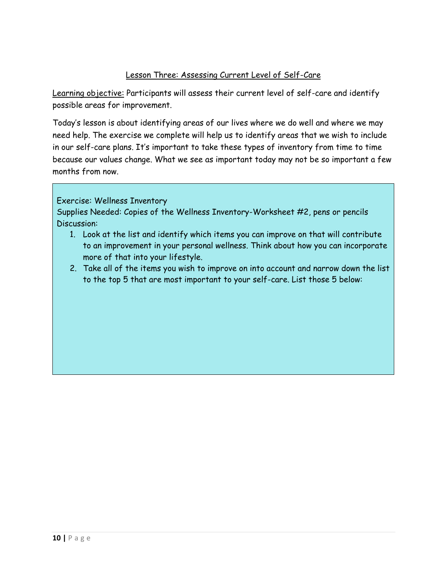#### Lesson Three: Assessing Current Level of Self-Care

Learning objective: Participants will assess their current level of self-care and identify possible areas for improvement.

Today's lesson is about identifying areas of our lives where we do well and where we may need help. The exercise we complete will help us to identify areas that we wish to include in our self-care plans. It's important to take these types of inventory from time to time because our values change. What we see as important today may not be so important a few months from now.

#### Exercise: Wellness Inventory

Supplies Needed: Copies of the Wellness Inventory-Worksheet #2, pens or pencils Discussion:

- 1. Look at the list and identify which items you can improve on that will contribute to an improvement in your personal wellness. Think about how you can incorporate more of that into your lifestyle.
- 2. Take all of the items you wish to improve on into account and narrow down the list to the top 5 that are most important to your self-care. List those 5 below: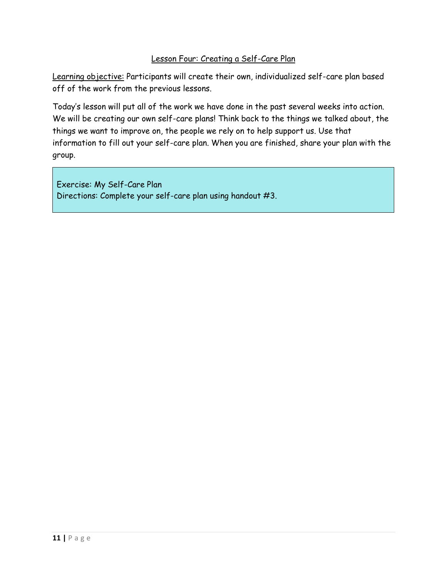## Lesson Four: Creating a Self-Care Plan

Learning objective: Participants will create their own, individualized self-care plan based off of the work from the previous lessons.

Today's lesson will put all of the work we have done in the past several weeks into action. We will be creating our own self-care plans! Think back to the things we talked about, the things we want to improve on, the people we rely on to help support us. Use that information to fill out your self-care plan. When you are finished, share your plan with the group.

Exercise: My Self-Care Plan Directions: Complete your self-care plan using handout #3.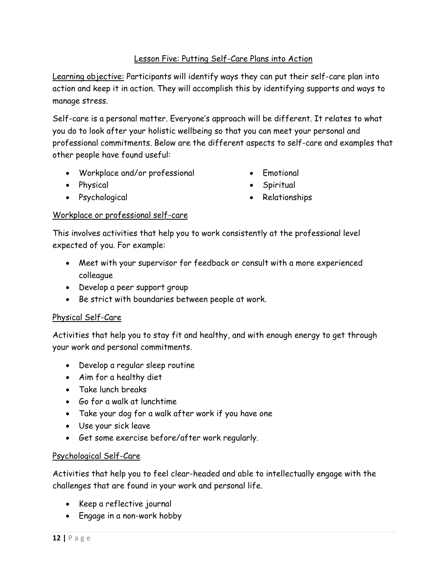# Lesson Five: Putting Self-Care Plans into Action

Learning objective: Participants will identify ways they can put their self-care plan into action and keep it in action. They will accomplish this by identifying supports and ways to manage stress.

Self-care is a personal matter. Everyone's approach will be different. It relates to what you do to look after your holistic wellbeing so that you can meet your personal and professional commitments. Below are the different aspects to self-care and examples that other people have found useful:

- Workplace and/or professional
- Physical
- Psychological
- Emotional
- Spiritual
- Relationships

#### Workplace or professional self-care

This involves activities that help you to work consistently at the professional level expected of you. For example:

- Meet with your supervisor for feedback or consult with a more experienced colleague
- Develop a peer support group
- Be strict with boundaries between people at work.

# Physical Self-Care

Activities that help you to stay fit and healthy, and with enough energy to get through your work and personal commitments.

- Develop a regular sleep routine
- Aim for a healthy diet
- Take lunch breaks
- Go for a walk at lunchtime
- Take your dog for a walk after work if you have one
- Use your sick leave
- Get some exercise before/after work regularly.

#### Psychological Self-Care

Activities that help you to feel clear-headed and able to intellectually engage with the challenges that are found in your work and personal life.

- Keep a reflective journal
- Engage in a non-work hobby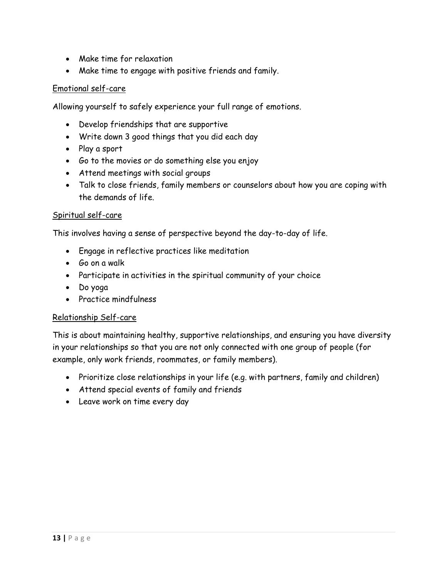- Make time for relaxation
- Make time to engage with positive friends and family.

#### Emotional self-care

Allowing yourself to safely experience your full range of emotions.

- Develop friendships that are supportive
- Write down 3 good things that you did each day
- Play a sport
- Go to the movies or do something else you enjoy
- Attend meetings with social groups
- Talk to close friends, family members or counselors about how you are coping with the demands of life.

#### Spiritual self-care

This involves having a sense of perspective beyond the day-to-day of life.

- Engage in reflective practices like meditation
- Go on a walk
- Participate in activities in the spiritual community of your choice
- Do yoga
- Practice mindfulness

#### Relationship Self-care

This is about maintaining healthy, supportive relationships, and ensuring you have diversity in your relationships so that you are not only connected with one group of people (for example, only work friends, roommates, or family members).

- Prioritize close relationships in your life (e.g. with partners, family and children)
- Attend special events of family and friends
- Leave work on time every day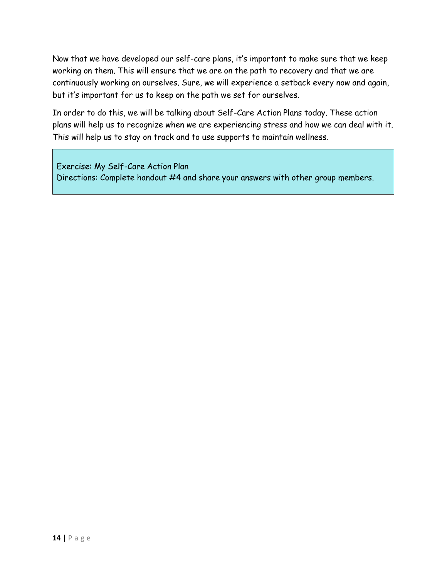Now that we have developed our self-care plans, it's important to make sure that we keep working on them. This will ensure that we are on the path to recovery and that we are continuously working on ourselves. Sure, we will experience a setback every now and again, but it's important for us to keep on the path we set for ourselves.

In order to do this, we will be talking about Self-Care Action Plans today. These action plans will help us to recognize when we are experiencing stress and how we can deal with it. This will help us to stay on track and to use supports to maintain wellness.

Exercise: My Self-Care Action Plan Directions: Complete handout #4 and share your answers with other group members.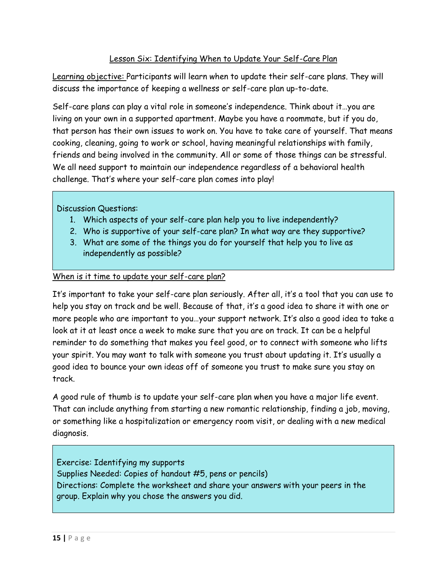# Lesson Six: Identifying When to Update Your Self-Care Plan

Learning objective: Participants will learn when to update their self-care plans. They will discuss the importance of keeping a wellness or self-care plan up-to-date.

Self-care plans can play a vital role in someone's independence. Think about it…you are living on your own in a supported apartment. Maybe you have a roommate, but if you do, that person has their own issues to work on. You have to take care of yourself. That means cooking, cleaning, going to work or school, having meaningful relationships with family, friends and being involved in the community. All or some of those things can be stressful. We all need support to maintain our independence regardless of a behavioral health challenge. That's where your self-care plan comes into play!

Discussion Questions:

- 1. Which aspects of your self-care plan help you to live independently?
- 2. Who is supportive of your self-care plan? In what way are they supportive?
- 3. What are some of the things you do for yourself that help you to live as independently as possible?

#### When is it time to update your self-care plan?

It's important to take your self-care plan seriously. After all, it's a tool that you can use to help you stay on track and be well. Because of that, it's a good idea to share it with one or more people who are important to you…your support network. It's also a good idea to take a look at it at least once a week to make sure that you are on track. It can be a helpful reminder to do something that makes you feel good, or to connect with someone who lifts your spirit. You may want to talk with someone you trust about updating it. It's usually a good idea to bounce your own ideas off of someone you trust to make sure you stay on track.

A good rule of thumb is to update your self-care plan when you have a major life event. That can include anything from starting a new romantic relationship, finding a job, moving, or something like a hospitalization or emergency room visit, or dealing with a new medical diagnosis.

Exercise: Identifying my supports Supplies Needed: Copies of handout #5, pens or pencils) Directions: Complete the worksheet and share your answers with your peers in the group. Explain why you chose the answers you did.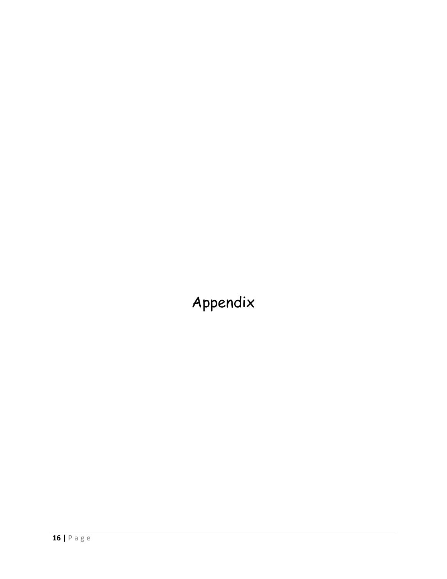Appendix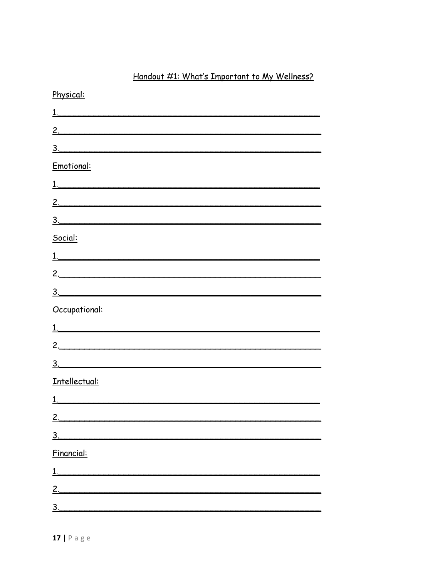# Handout #1: What's Important to My Wellness?

| Physical:        |
|------------------|
|                  |
|                  |
| $\frac{3}{2}$    |
| Emotional:       |
| 1.               |
| <u>2.</u>        |
| 3.               |
| Social:          |
|                  |
|                  |
| $\frac{3}{2}$    |
| Occupational:    |
| $\overline{1}$ . |
|                  |
| $\overline{3}$ . |
| Intellectual:    |
|                  |
| 2.               |
| 3 <sub>1</sub>   |
|                  |
| Financial:       |
| $\overline{1}$ . |
| 2.               |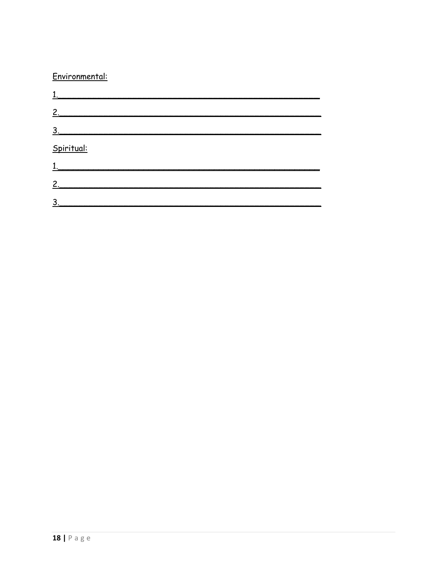# Environmental:

| 2.                |  |  |
|-------------------|--|--|
| $\underline{3}$ . |  |  |
| Spiritual:        |  |  |
| 1.                |  |  |
| $\mathbf{2}$      |  |  |
| 3.                |  |  |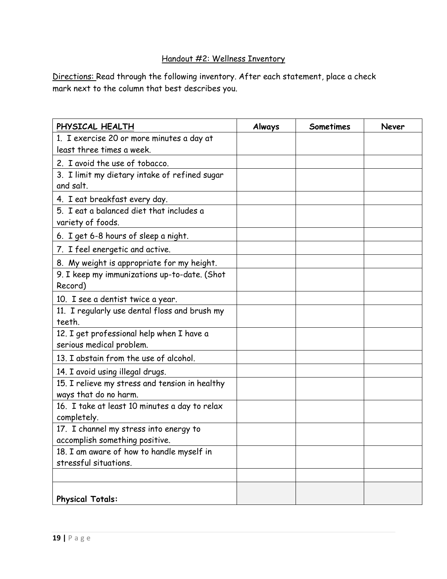# Handout #2: Wellness Inventory

Directions: Read through the following inventory. After each statement, place a check mark next to the column that best describes you.

| PHYSICAL HEALTH                                                    | Always | <b>Sometimes</b> | Never |
|--------------------------------------------------------------------|--------|------------------|-------|
| 1. I exercise 20 or more minutes a day at                          |        |                  |       |
| least three times a week.                                          |        |                  |       |
| 2. I avoid the use of tobacco.                                     |        |                  |       |
| 3. I limit my dietary intake of refined sugar                      |        |                  |       |
| and salt.                                                          |        |                  |       |
| 4. I eat breakfast every day.                                      |        |                  |       |
| 5. I eat a balanced diet that includes a                           |        |                  |       |
| variety of foods.                                                  |        |                  |       |
| 6. I get 6-8 hours of sleep a night.                               |        |                  |       |
| 7. I feel energetic and active.                                    |        |                  |       |
| 8. My weight is appropriate for my height.                         |        |                  |       |
| 9. I keep my immunizations up-to-date. (Shot                       |        |                  |       |
| Record)                                                            |        |                  |       |
| 10. I see a dentist twice a year.                                  |        |                  |       |
| 11. I regularly use dental floss and brush my                      |        |                  |       |
| teeth.                                                             |        |                  |       |
| 12. I get professional help when I have a                          |        |                  |       |
| serious medical problem.                                           |        |                  |       |
| 13. I abstain from the use of alcohol.                             |        |                  |       |
| 14. I avoid using illegal drugs.                                   |        |                  |       |
| 15. I relieve my stress and tension in healthy                     |        |                  |       |
| ways that do no harm.                                              |        |                  |       |
| 16. I take at least 10 minutes a day to relax                      |        |                  |       |
| completely.                                                        |        |                  |       |
| 17. I channel my stress into energy to                             |        |                  |       |
| accomplish something positive.                                     |        |                  |       |
| 18. I am aware of how to handle myself in<br>stressful situations. |        |                  |       |
|                                                                    |        |                  |       |
|                                                                    |        |                  |       |
| <b>Physical Totals:</b>                                            |        |                  |       |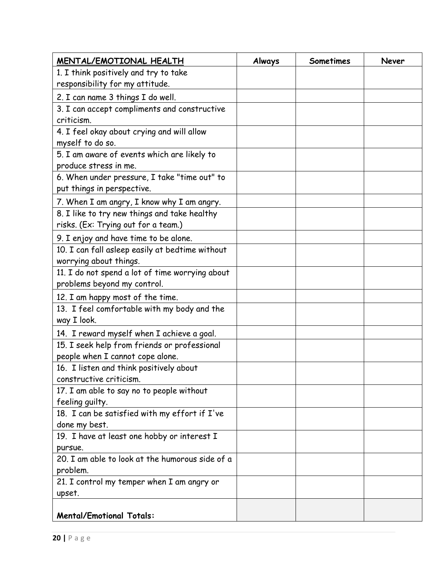| MENTAL/EMOTIONAL HEALTH                         | Always | Sometimes | <b>Never</b> |
|-------------------------------------------------|--------|-----------|--------------|
| 1. I think positively and try to take           |        |           |              |
| responsibility for my attitude.                 |        |           |              |
| 2. I can name 3 things I do well.               |        |           |              |
| 3. I can accept compliments and constructive    |        |           |              |
| criticism.                                      |        |           |              |
| 4. I feel okay about crying and will allow      |        |           |              |
| myself to do so.                                |        |           |              |
| 5. I am aware of events which are likely to     |        |           |              |
| produce stress in me.                           |        |           |              |
| 6. When under pressure, I take "time out" to    |        |           |              |
| put things in perspective.                      |        |           |              |
| 7. When I am angry, I know why I am angry.      |        |           |              |
| 8. I like to try new things and take healthy    |        |           |              |
| risks. (Ex: Trying out for a team.)             |        |           |              |
| 9. I enjoy and have time to be alone.           |        |           |              |
| 10. I can fall asleep easily at bedtime without |        |           |              |
| worrying about things.                          |        |           |              |
| 11. I do not spend a lot of time worrying about |        |           |              |
| problems beyond my control.                     |        |           |              |
| 12. I am happy most of the time.                |        |           |              |
| 13. I feel comfortable with my body and the     |        |           |              |
| way I look.                                     |        |           |              |
| 14. I reward myself when I achieve a goal.      |        |           |              |
| 15. I seek help from friends or professional    |        |           |              |
| people when I cannot cope alone.                |        |           |              |
| 16. I listen and think positively about         |        |           |              |
| constructive criticism.                         |        |           |              |
| 17. I am able to say no to people without       |        |           |              |
| feeling quilty.                                 |        |           |              |
| 18. I can be satisfied with my effort if I've   |        |           |              |
| done my best.                                   |        |           |              |
| 19. I have at least one hobby or interest I     |        |           |              |
| pursue.                                         |        |           |              |
| 20. I am able to look at the humorous side of a |        |           |              |
| problem.                                        |        |           |              |
| 21. I control my temper when I am angry or      |        |           |              |
| upset.                                          |        |           |              |
| <b>Mental/Emotional Totals:</b>                 |        |           |              |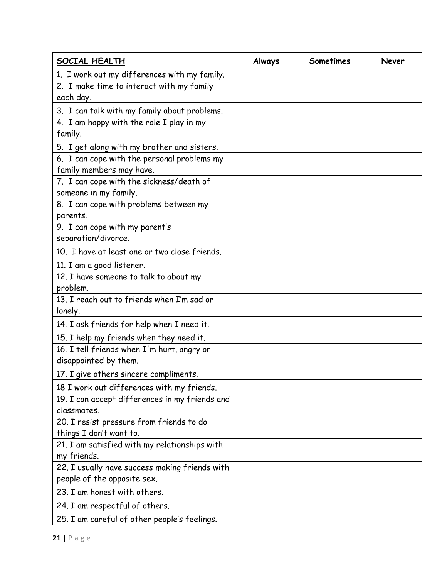| SOCIAL HEALTH                                          | Always | Sometimes | Never |
|--------------------------------------------------------|--------|-----------|-------|
| 1. I work out my differences with my family.           |        |           |       |
| 2. I make time to interact with my family<br>each day. |        |           |       |
| 3. I can talk with my family about problems.           |        |           |       |
| 4. I am happy with the role I play in my               |        |           |       |
| family.                                                |        |           |       |
| 5. I get along with my brother and sisters.            |        |           |       |
| 6. I can cope with the personal problems my            |        |           |       |
| family members may have.                               |        |           |       |
| 7. I can cope with the sickness/death of               |        |           |       |
| someone in my family.                                  |        |           |       |
| 8. I can cope with problems between my                 |        |           |       |
| parents.                                               |        |           |       |
| 9. I can cope with my parent's                         |        |           |       |
| separation/divorce.                                    |        |           |       |
| 10. I have at least one or two close friends.          |        |           |       |
| 11. I am a good listener.                              |        |           |       |
| 12. I have someone to talk to about my                 |        |           |       |
| problem.                                               |        |           |       |
| 13. I reach out to friends when I'm sad or             |        |           |       |
| lonely.                                                |        |           |       |
| 14. I ask friends for help when I need it.             |        |           |       |
| 15. I help my friends when they need it.               |        |           |       |
| 16. I tell friends when I'm hurt, angry or             |        |           |       |
| disappointed by them.                                  |        |           |       |
| 17. I give others sincere compliments.                 |        |           |       |
| 18 I work out differences with my friends.             |        |           |       |
| 19. I can accept differences in my friends and         |        |           |       |
| classmates.                                            |        |           |       |
| 20. I resist pressure from friends to do               |        |           |       |
| things I don't want to.                                |        |           |       |
| 21. I am satisfied with my relationships with          |        |           |       |
| my friends.                                            |        |           |       |
| 22. I usually have success making friends with         |        |           |       |
| people of the opposite sex.                            |        |           |       |
| 23. I am honest with others.                           |        |           |       |
| 24. I am respectful of others.                         |        |           |       |
| 25. I am careful of other people's feelings.           |        |           |       |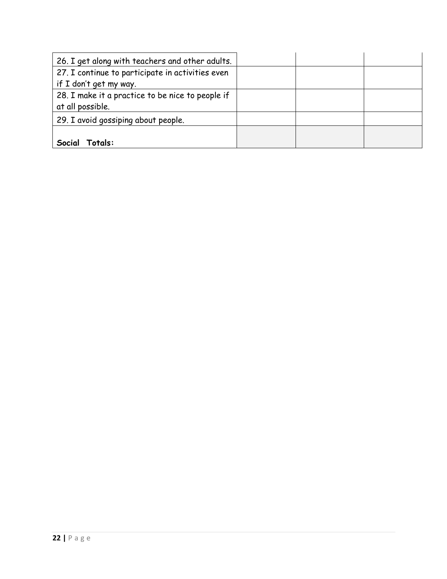| 26. I get along with teachers and other adults.  |  |  |
|--------------------------------------------------|--|--|
| 27. I continue to participate in activities even |  |  |
| if I don't get my way.                           |  |  |
| 28. I make it a practice to be nice to people if |  |  |
| at all possible.                                 |  |  |
| 29. I avoid gossiping about people.              |  |  |
|                                                  |  |  |
| Social<br>Totals:                                |  |  |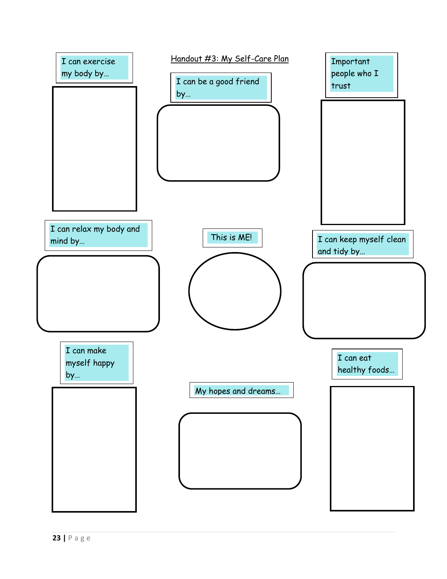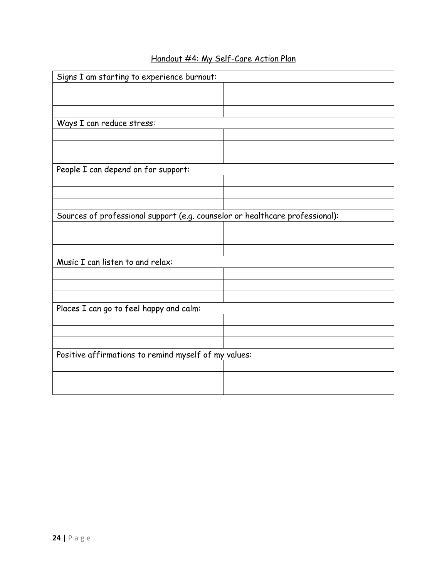| Signs I am starting to experience burnout:                                   |  |
|------------------------------------------------------------------------------|--|
|                                                                              |  |
|                                                                              |  |
|                                                                              |  |
| Ways I can reduce stress:                                                    |  |
|                                                                              |  |
|                                                                              |  |
|                                                                              |  |
| People I can depend on for support:                                          |  |
|                                                                              |  |
|                                                                              |  |
|                                                                              |  |
| Sources of professional support (e.g. counselor or healthcare professional): |  |
|                                                                              |  |
|                                                                              |  |
|                                                                              |  |
| Music I can listen to and relax:                                             |  |
|                                                                              |  |
|                                                                              |  |
|                                                                              |  |
| Places I can go to feel happy and calm:                                      |  |
|                                                                              |  |
|                                                                              |  |
|                                                                              |  |
| Positive affirmations to remind myself of my values:                         |  |
|                                                                              |  |
|                                                                              |  |
|                                                                              |  |

# Handout #4: My Self-Care Action Plan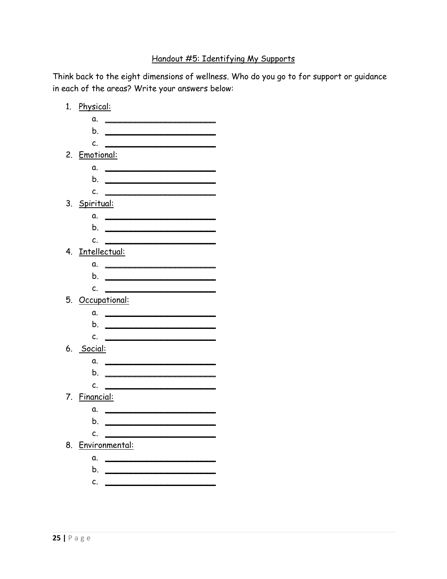# Handout #5: Identifying My Supports

Think back to the eight dimensions of wellness. Who do you go to for support or guidance in each of the areas? Write your answers below:

|    | 1. Physical:         |                                                                                                                                                                                                                                      |
|----|----------------------|--------------------------------------------------------------------------------------------------------------------------------------------------------------------------------------------------------------------------------------|
|    | α.                   | <u> 1989 - Andrea Barbara, manazarta eta pro</u>                                                                                                                                                                                     |
|    | b.                   |                                                                                                                                                                                                                                      |
|    | C.                   |                                                                                                                                                                                                                                      |
|    | 2. Emotional:        |                                                                                                                                                                                                                                      |
|    |                      | a.                                                                                                                                                                                                                                   |
|    |                      |                                                                                                                                                                                                                                      |
|    | C.                   |                                                                                                                                                                                                                                      |
|    | 3. <u>Spiritual:</u> |                                                                                                                                                                                                                                      |
|    | α.                   | the contract of the contract of the contract of the contract of the contract of                                                                                                                                                      |
|    | b.                   | <u> Anglický politik (* 1858)</u>                                                                                                                                                                                                    |
|    | c.                   |                                                                                                                                                                                                                                      |
|    | 4. Intellectual:     |                                                                                                                                                                                                                                      |
|    |                      | a.                                                                                                                                                                                                                                   |
|    | b.                   | <u> Alexandria de la contrada de la contrada de la contrada de la contrada de la contrada de la contrada de la c</u>                                                                                                                 |
|    | c.                   |                                                                                                                                                                                                                                      |
|    | 5. Occupational:     |                                                                                                                                                                                                                                      |
|    | α.                   |                                                                                                                                                                                                                                      |
|    | b.                   |                                                                                                                                                                                                                                      |
|    | c.                   |                                                                                                                                                                                                                                      |
|    | 6. <u>Social:</u>    |                                                                                                                                                                                                                                      |
|    | α.                   |                                                                                                                                                                                                                                      |
|    | b.                   | <u> 1989 - Johann Harry Harry Harry Harry Harry Harry Harry Harry Harry Harry Harry Harry Harry Harry Harry Harry Harry Harry Harry Harry Harry Harry Harry Harry Harry Harry Harry Harry Harry Harry Harry Harry Harry Harry Ha</u> |
|    | c.                   |                                                                                                                                                                                                                                      |
|    | 7. <u>Financial:</u> |                                                                                                                                                                                                                                      |
|    | α.                   | <u> The Communication of the Communication</u>                                                                                                                                                                                       |
|    | b.                   |                                                                                                                                                                                                                                      |
|    | c.                   |                                                                                                                                                                                                                                      |
| 8. | Environmental:       |                                                                                                                                                                                                                                      |
|    | α.                   | <u> The Communication of the Communication of the Communication of the Communication of the Communication of the Communication of the Communication of the Communication of the Communication of the Communication of the Commun</u> |
|    | b.                   |                                                                                                                                                                                                                                      |
|    | c.                   |                                                                                                                                                                                                                                      |
|    |                      |                                                                                                                                                                                                                                      |